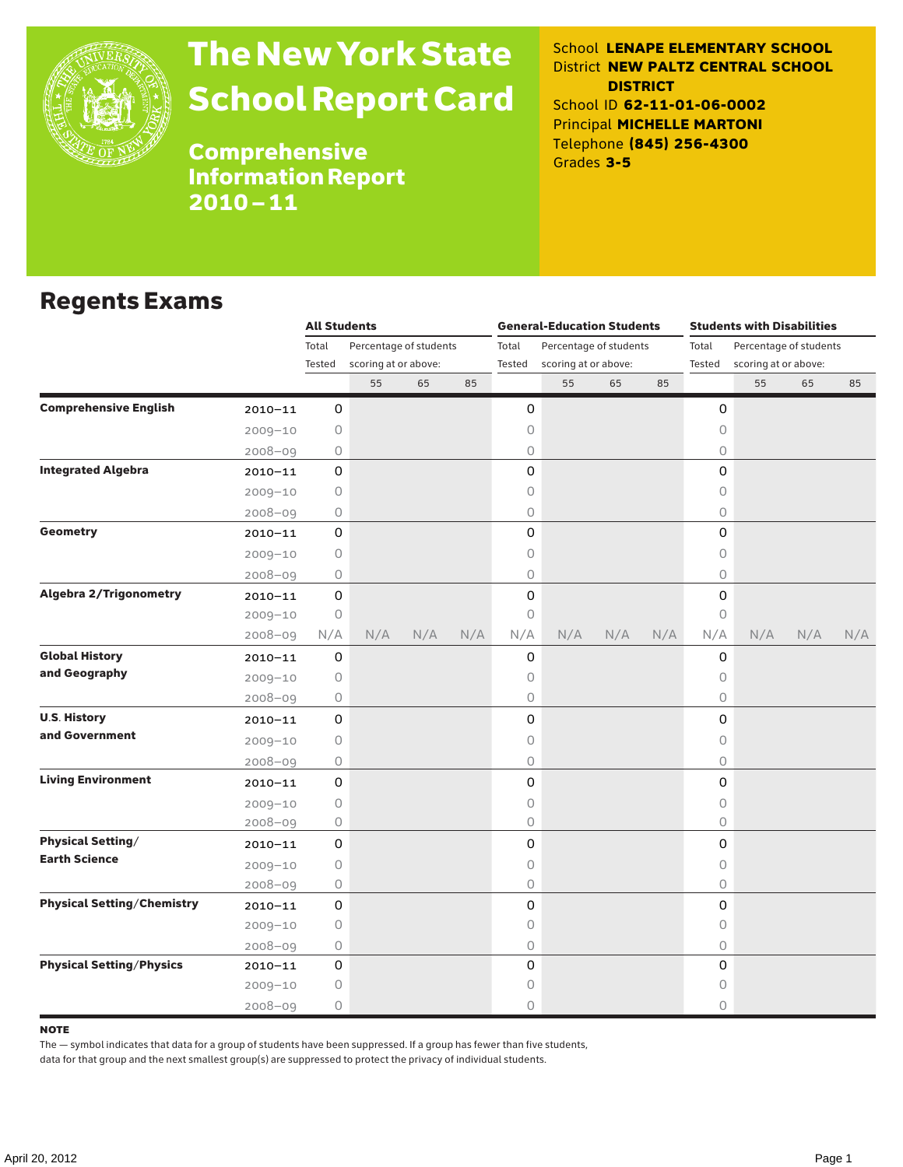

# The New York State School Report Card

School **LENAPE ELEMENTARY SCHOOL** District **NEW PALTZ CENTRAL SCHOOL DISTRICT** School ID **62-11-01-06-0002** Principal **MICHELLE MARTONI** Telephone **(845) 256-4300** Grades **3-5**

Comprehensive Information Report 2010–11

## Regents Exams

|                                   |             | <b>All Students</b>             |                      |     |     |        | <b>General-Education Students</b> |     |     | <b>Students with Disabilities</b> |                        |     |     |  |
|-----------------------------------|-------------|---------------------------------|----------------------|-----|-----|--------|-----------------------------------|-----|-----|-----------------------------------|------------------------|-----|-----|--|
|                                   |             | Total<br>Percentage of students |                      |     |     | Total  | Percentage of students            |     |     | Total                             | Percentage of students |     |     |  |
|                                   |             | Tested                          | scoring at or above: |     |     | Tested | scoring at or above:              |     |     | Tested                            | scoring at or above:   |     |     |  |
|                                   |             |                                 | 55                   | 65  | 85  |        | 55                                | 65  | 85  |                                   | 55                     | 65  | 85  |  |
| <b>Comprehensive English</b>      | $2010 - 11$ | 0                               |                      |     |     | 0      |                                   |     |     | 0                                 |                        |     |     |  |
|                                   | $2009 - 10$ | 0                               |                      |     |     | 0      |                                   |     |     | $\circ$                           |                        |     |     |  |
|                                   | $2008 - 09$ | 0                               |                      |     |     | 0      |                                   |     |     | 0                                 |                        |     |     |  |
| <b>Integrated Algebra</b>         | $2010 - 11$ | 0                               |                      |     |     | 0      |                                   |     |     | $\Omega$                          |                        |     |     |  |
|                                   | $2009 - 10$ | 0                               |                      |     |     | 0      |                                   |     |     | 0                                 |                        |     |     |  |
|                                   | $2008 - 09$ | 0                               |                      |     |     | 0      |                                   |     |     | 0                                 |                        |     |     |  |
| Geometry                          | $2010 - 11$ | 0                               |                      |     |     | 0      |                                   |     |     | 0                                 |                        |     |     |  |
|                                   | $2009 - 10$ | 0                               |                      |     |     | 0      |                                   |     |     | $\bigcirc$                        |                        |     |     |  |
|                                   | $2008 - 09$ | 0                               |                      |     |     | 0      |                                   |     |     | 0                                 |                        |     |     |  |
| <b>Algebra 2/Trigonometry</b>     | $2010 - 11$ | 0                               |                      |     |     | 0      |                                   |     |     | $\mathsf{O}$                      |                        |     |     |  |
|                                   | $2009 - 10$ | $\circ$                         |                      |     |     | 0      |                                   |     |     | $\circ$                           |                        |     |     |  |
|                                   | $2008 - 09$ | N/A                             | N/A                  | N/A | N/A | N/A    | N/A                               | N/A | N/A | N/A                               | N/A                    | N/A | N/A |  |
| <b>Global History</b>             | $2010 - 11$ | 0                               |                      |     |     | 0      |                                   |     |     | 0                                 |                        |     |     |  |
| and Geography                     | $2009 - 10$ | 0                               |                      |     |     | 0      |                                   |     |     | 0                                 |                        |     |     |  |
|                                   | $2008 - 09$ | 0                               |                      |     |     | 0      |                                   |     |     | $\circ$                           |                        |     |     |  |
| <b>U.S. History</b>               | $2010 - 11$ | 0                               |                      |     |     | 0      |                                   |     |     | 0                                 |                        |     |     |  |
| and Government                    | $2009 - 10$ | 0                               |                      |     |     | 0      |                                   |     |     | $\bigcirc$                        |                        |     |     |  |
|                                   | $2008 - 09$ | 0                               |                      |     |     | 0      |                                   |     |     | $\circ$                           |                        |     |     |  |
| <b>Living Environment</b>         | $2010 - 11$ | 0                               |                      |     |     | 0      |                                   |     |     | $\mathsf{O}$                      |                        |     |     |  |
|                                   | $2009 - 10$ | $\circ$                         |                      |     |     | 0      |                                   |     |     | $\circ$                           |                        |     |     |  |
|                                   | $2008 - 09$ | 0                               |                      |     |     | 0      |                                   |     |     | $\circ$                           |                        |     |     |  |
| <b>Physical Setting/</b>          | $2010 - 11$ | 0                               |                      |     |     | 0      |                                   |     |     | 0                                 |                        |     |     |  |
| <b>Earth Science</b>              | $2009 - 10$ | 0                               |                      |     |     | 0      |                                   |     |     | 0                                 |                        |     |     |  |
|                                   | $2008 - 09$ | 0                               |                      |     |     | 0      |                                   |     |     | $\circ$                           |                        |     |     |  |
| <b>Physical Setting/Chemistry</b> | $2010 - 11$ | $\mathbf 0$                     |                      |     |     | 0      |                                   |     |     | 0                                 |                        |     |     |  |
|                                   | $2009 - 10$ | $\circ$                         |                      |     |     | 0      |                                   |     |     | $\circ$                           |                        |     |     |  |
|                                   | $2008 - 09$ | 0                               |                      |     |     | 0      |                                   |     |     | 0                                 |                        |     |     |  |
| <b>Physical Setting/Physics</b>   | 2010-11     | 0                               |                      |     |     | 0      |                                   |     |     | $\Omega$                          |                        |     |     |  |
|                                   | $2009 - 10$ | 0                               |                      |     |     | 0      |                                   |     |     | 0                                 |                        |     |     |  |
|                                   | 2008-09     | 0                               |                      |     |     | 0      |                                   |     |     | 0                                 |                        |     |     |  |

#### **NOTE**

The — symbol indicates that data for a group of students have been suppressed. If a group has fewer than five students,

data for that group and the next smallest group(s) are suppressed to protect the privacy of individual students.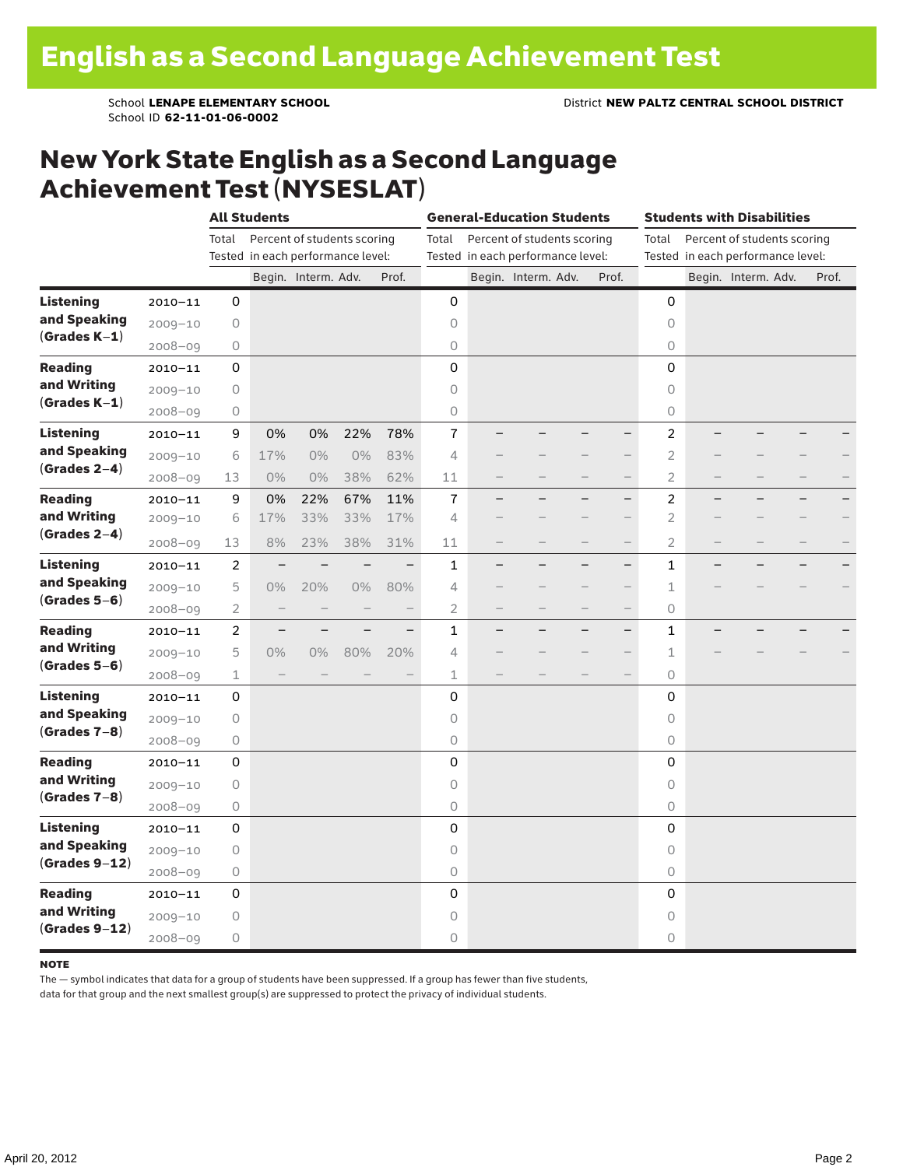School ID **62-11-01-06-0002**

## New York State English as a Second Language Achievement Test (NYSESLAT)

|                                                     |             |                | <b>All Students</b>               |                     |                          |                          |                | <b>General-Education Students</b> |                                   | <b>Students with Disabilities</b> |                                      |                |                          |                                   |  |       |  |
|-----------------------------------------------------|-------------|----------------|-----------------------------------|---------------------|--------------------------|--------------------------|----------------|-----------------------------------|-----------------------------------|-----------------------------------|--------------------------------------|----------------|--------------------------|-----------------------------------|--|-------|--|
|                                                     |             | Total          | Percent of students scoring       |                     |                          |                          |                |                                   | Percent of students scoring       |                                   | Percent of students scoring<br>Total |                |                          |                                   |  |       |  |
|                                                     |             |                | Tested in each performance level: |                     |                          |                          |                |                                   | Tested in each performance level: |                                   |                                      |                |                          | Tested in each performance level: |  |       |  |
|                                                     |             |                |                                   | Begin. Interm. Adv. |                          | Prof.                    |                |                                   | Begin. Interm. Adv.               |                                   | Prof.                                |                |                          | Begin. Interm. Adv.               |  | Prof. |  |
| <b>Listening</b>                                    | $2010 - 11$ | 0              |                                   |                     |                          |                          | 0              |                                   |                                   |                                   |                                      | 0              |                          |                                   |  |       |  |
| and Speaking<br>$(Grades K-1)$                      | $2009 - 10$ | $\mathsf O$    |                                   |                     |                          |                          | $\circ$        |                                   |                                   |                                   |                                      | $\circ$        |                          |                                   |  |       |  |
|                                                     | $2008 - 09$ | $\bigcirc$     |                                   |                     |                          |                          | $\mathsf O$    |                                   |                                   |                                   |                                      | 0              |                          |                                   |  |       |  |
| <b>Reading</b><br>and Writing<br>$(Grades K-1)$     | $2010 - 11$ | 0              |                                   |                     |                          |                          | $\mathbf 0$    |                                   |                                   |                                   |                                      | $\mathbf 0$    |                          |                                   |  |       |  |
|                                                     | $2009 - 10$ | 0              |                                   |                     |                          |                          | 0              |                                   |                                   |                                   |                                      | $\Omega$       |                          |                                   |  |       |  |
|                                                     | $2008 - 09$ | 0              |                                   |                     |                          |                          | $\mathsf O$    |                                   |                                   |                                   |                                      | 0              |                          |                                   |  |       |  |
| <b>Listening</b>                                    | $2010 - 11$ | 9              | 0%                                | 0%                  | 22%                      | 78%                      | 7              |                                   |                                   |                                   |                                      | 2              |                          |                                   |  |       |  |
| and Speaking                                        | $2009 - 10$ | 6              | 17%                               | $0\%$               | $0\%$                    | 83%                      | $\overline{4}$ |                                   |                                   |                                   |                                      | $\overline{2}$ |                          |                                   |  |       |  |
| $(Grades 2-4)$                                      | $2008 - 09$ | 13             | $0\%$                             | $0\%$               | 38%                      | 62%                      | 11             |                                   |                                   | $\overline{\phantom{0}}$          | $\overline{\phantom{0}}$             | 2              | $\overline{\phantom{0}}$ |                                   |  |       |  |
| <b>Reading</b><br>and Writing<br>$(Grades 2-4)$     | $2010 - 11$ | 9              | 0%                                | 22%                 | 67%                      | 11%                      | $\overline{1}$ |                                   |                                   |                                   | $\overline{\phantom{0}}$             | 2              | $\overline{\phantom{0}}$ |                                   |  |       |  |
|                                                     | $2009 - 10$ | 6              | 17%                               | 33%                 | 33%                      | 17%                      | $\overline{4}$ |                                   |                                   |                                   | $\overline{\phantom{0}}$             | $\overline{2}$ |                          |                                   |  |       |  |
|                                                     | $2008 - 09$ | 13             | 8%                                | 23%                 | 38%                      | 31%                      | 11             | $\qquad \qquad$                   |                                   |                                   |                                      | 2              |                          |                                   |  |       |  |
| <b>Listening</b><br>and Speaking<br>$(Grades 5-6)$  | $2010 - 11$ | 2              |                                   |                     |                          | $\overline{\phantom{0}}$ | $\mathbf{1}$   |                                   |                                   |                                   | $\overline{\phantom{0}}$             | $\mathbf{1}$   | $\overline{\phantom{0}}$ |                                   |  |       |  |
|                                                     | $2009 - 10$ | 5              | $0\%$                             | 20%                 | 0%                       | 80%                      | 4              |                                   |                                   |                                   | $\qquad \qquad -$                    | 1              |                          |                                   |  |       |  |
|                                                     | $2008 - 09$ | $\overline{2}$ |                                   |                     |                          |                          | 2              |                                   |                                   |                                   | $\overline{\phantom{0}}$             | 0              |                          |                                   |  |       |  |
| <b>Reading</b><br>and Writing<br>$(Grades 5-6)$     | $2010 - 11$ | $\overline{c}$ | $\qquad \qquad -$                 |                     | $\overline{\phantom{0}}$ | $\overline{\phantom{0}}$ | $\mathbf{1}$   |                                   |                                   |                                   | $\overline{\phantom{0}}$             | $\mathbf{1}$   |                          |                                   |  |       |  |
|                                                     | $2009 - 10$ | 5              | $0\%$                             | 0%                  | 80%                      | 20%                      | 4              |                                   |                                   |                                   |                                      | 1              |                          |                                   |  |       |  |
|                                                     | $2008 - 09$ | $\mathbf 1$    | $\overline{\phantom{0}}$          |                     |                          |                          | 1              |                                   |                                   |                                   |                                      | 0              |                          |                                   |  |       |  |
| <b>Listening</b><br>and Speaking<br>$(Grades 7-8)$  | $2010 - 11$ | 0              |                                   |                     |                          |                          | 0              |                                   |                                   |                                   |                                      | 0              |                          |                                   |  |       |  |
|                                                     | $2009 - 10$ | $\mathsf O$    |                                   |                     |                          |                          | $\circ$        |                                   |                                   |                                   |                                      | $\circ$        |                          |                                   |  |       |  |
|                                                     | $2008 - 09$ | $\circ$        |                                   |                     |                          |                          | $\circ$        |                                   |                                   |                                   |                                      | 0              |                          |                                   |  |       |  |
| <b>Reading</b><br>and Writing<br>$(Grades 7-8)$     | $2010 - 11$ | 0              |                                   |                     |                          |                          | $\mathbf 0$    |                                   |                                   |                                   |                                      | 0              |                          |                                   |  |       |  |
|                                                     | $2009 - 10$ | 0              |                                   |                     |                          |                          | $\circ$        |                                   |                                   |                                   |                                      | 0              |                          |                                   |  |       |  |
|                                                     | $2008 - 09$ | $\bigcirc$     |                                   |                     |                          |                          | $\mathsf O$    |                                   |                                   |                                   |                                      | 0              |                          |                                   |  |       |  |
| <b>Listening</b><br>and Speaking<br>$(Grades 9-12)$ | $2010 - 11$ | 0              |                                   |                     |                          |                          | $\mathbf 0$    |                                   |                                   |                                   |                                      | 0              |                          |                                   |  |       |  |
|                                                     | $2009 - 10$ | $\mathsf O$    |                                   |                     |                          |                          | $\circ$        |                                   |                                   |                                   |                                      | $\circ$        |                          |                                   |  |       |  |
|                                                     | $2008 - 09$ | $\circ$        |                                   |                     |                          |                          | $\circ$        |                                   |                                   |                                   |                                      | 0              |                          |                                   |  |       |  |
| <b>Reading</b><br>and Writing<br>$(Grades 9-12)$    | $2010 - 11$ | 0              |                                   |                     |                          |                          | 0              |                                   |                                   |                                   |                                      | 0              |                          |                                   |  |       |  |
|                                                     | $2009 - 10$ | 0              |                                   |                     |                          |                          | 0              |                                   |                                   |                                   |                                      | $\circ$        |                          |                                   |  |       |  |
|                                                     | $2008 - 09$ | $\bigcirc$     |                                   |                     |                          |                          | 0              |                                   |                                   |                                   |                                      | 0              |                          |                                   |  |       |  |

#### note

The — symbol indicates that data for a group of students have been suppressed. If a group has fewer than five students,

data for that group and the next smallest group(s) are suppressed to protect the privacy of individual students.